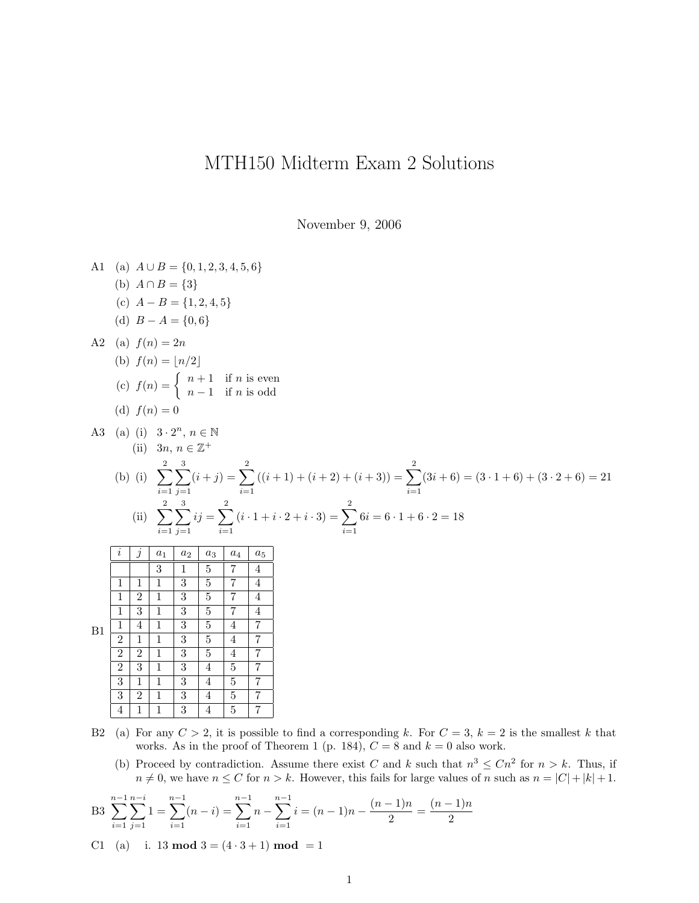## MTH150 Midterm Exam 2 Solutions

November 9, 2006

A1 (a) 
$$
A \cup B = \{0, 1, 2, 3, 4, 5, 6\}
$$
  
\n(b)  $A \cap B = \{3\}$   
\n(c)  $A - B = \{1, 2, 4, 5\}$   
\n(d)  $B - A = \{0, 6\}$   
\nA2 (a)  $f(n) = 2n$   
\n(b)  $f(n) = \begin{cases} n+1 & \text{if } n \text{ is even} \\ n-1 & \text{if } n \text{ is odd} \end{cases}$   
\n(d)  $f(n) = 0$   
\nA3 (a) (i)  $3 \cdot 2^n$ ,  $n \in \mathbb{N}$   
\n(ii)  $3n$ ,  $n \in \mathbb{Z}^+$   
\n(b) (i)  $\sum_{i=1}^{2} \sum_{j=1}^{3} (i+j) = \sum_{i=1}^{2} ((i+1) + (i+2) + (i+3)) = \sum_{i=1}^{2} (3i+6) = (3 \cdot 1+6) + (3 \cdot 2+6) = 21$   
\n(ii)  $\sum_{i=1}^{2} \frac{3}{j-1} ij = \sum_{i=1}^{2} (i \cdot 1 + i \cdot 2 + i \cdot 3) = \sum_{i=1}^{2} 6i = 6 \cdot 1 + 6 \cdot 2 = 18$   
\n(i)  $\sum_{i=1}^{2} \frac{3}{j-1} ij = \sum_{i=1}^{2} (i \cdot 1 + i \cdot 2 + i \cdot 3) = \sum_{i=1}^{2} 6i = 6 \cdot 1 + 6 \cdot 2 = 18$   
\n4 1 1 1 3 5 7 4  
\n1 1 1 3 5 7 4  
\n1 2 1 3 5 4 7  
\n2 2 1 1 3 5 4 7  
\n2 3 1 3 4 5 7  
\n3 2 1 3 4 5 7  
\n3 2 1 3 4 5 7  
\n3 2 1 3 4 5 7  
\n3 2 1 3 4 5 7  
\n3 2 1 3 4 5 7  
\n4 1 1 1 3 4 5 7

- B2 (a) For any  $C > 2$ , it is possible to find a corresponding k. For  $C = 3$ ,  $k = 2$  is the smallest k that works. As in the proof of Theorem 1 (p. 184),  $C = 8$  and  $k = 0$  also work.
	- (b) Proceed by contradiction. Assume there exist *C* and *k* such that  $n^3 \leq Cn^2$  for  $n > k$ . Thus, if  $n \neq 0$ , we have  $n \leq C$  for  $n > k$ . However, this fails for large values of *n* such as  $n = |C| + |k| + 1$ .

B3 
$$
\sum_{i=1}^{n-1} \sum_{j=1}^{n-i} 1 = \sum_{i=1}^{n-1} (n-i) = \sum_{i=1}^{n-1} n - \sum_{i=1}^{n-1} i = (n-1)n - \frac{(n-1)n}{2} = \frac{(n-1)n}{2}
$$

C1 (a) i. 13 **mod**  $3 = (4 \cdot 3 + 1)$  **mod**  $= 1$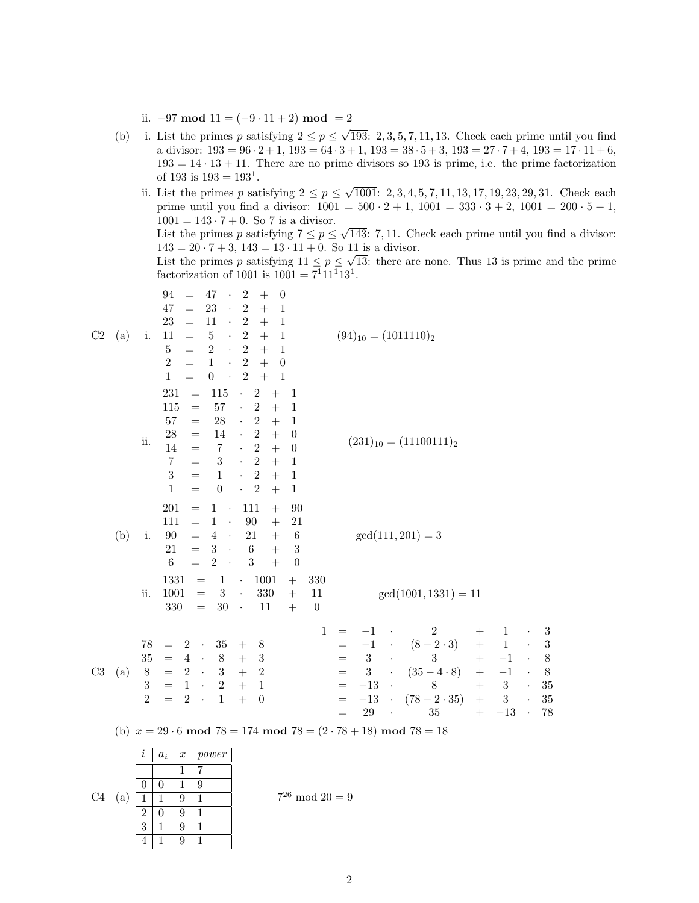ii.  $-97 \mod 11 = (-9 \cdot 11 + 2) \mod = 2$ 

- (b) i. List the primes p satisfying  $2 \le p \le \sqrt{193}$ : 2, 3, 5, 7, 11, 13. Check each prime until you find a divisor:  $193 = 96 \cdot 2 + 1$ ,  $193 = 64 \cdot 3 + 1$ ,  $193 = 38 \cdot 5 + 3$ ,  $193 = 27 \cdot 7 + 4$ ,  $193 = 17 \cdot 11 + 6$ ,  $193 = 14 \cdot 13 + 11$ . There are no prime divisors so 193 is prime, i.e. the prime factorization of 193 is  $193 = 193^1$ .
	- ii. List the primes p satisfying  $2 \le p \le \sqrt{1001}$ : 2, 3, 4, 5, 7, 11, 13, 17, 19, 23, 29, 31. Check each prime until you find a divisor:  $1001 = 500 \cdot 2 + 1$ ,  $1001 = 333 \cdot 3 + 2$ ,  $1001 = 200 \cdot 5 + 1$ ,  $1001 = 143 \cdot 7 + 0$ . So 7 is a divisor. List the primes p satisfying  $7 \le p \le \sqrt{143}$ : 7, 11. Check each prime until you find a divisor:

 $143 = 20 \cdot 7 + 3$ ,  $143 = 13 \cdot 11 + 0$ . So 11 is a divisor.

List the primes p satisfying  $11 \le p \le \sqrt{13}$ : there are none. Thus 13 is prime and the prime factorization of 1001 is  $1001 = 7^{1}11^{1}13^{1}$ .

| C2 | (a)                                                                         | i.                                                | 94<br>47<br>$\bullet$<br>$\overline{2}$<br>$^{+}$<br>$\theta$<br>$=$<br>23<br>$\boldsymbol{2}$<br>47<br>$\mathbf{1}$<br>$\bullet$<br>$^{+}$<br>$=$<br>11<br>$\,2$<br>23<br>$\mathbf{1}$<br>$\ddot{\phantom{0}}$<br>$=$<br>$\,2$<br>$\bf 5$<br>11<br>$\ddot{\phantom{0}}$<br>$^{+}$<br>$\mathbf{1}$<br>$=$<br>$\sqrt{2}$<br>$\bf 5$<br>$\qquad \qquad +$<br>$\overline{2}$<br>$\mathcal{L}_{\mathcal{A}}$<br>$\mathbf{1}$<br>$=$<br>$\overline{2}$<br>$\sqrt{2}$<br>$+$<br>$\mathbf{1}$<br>$\mathcal{A}^{\mathcal{A}}$<br>$\boldsymbol{0}$<br>$=$<br>$\sqrt{2}$<br>$+$<br>$\mathbf{1}$<br>$\boldsymbol{0}$<br>$\sim$ $\sim$<br>$\mathbf{1}$<br>$=$                                                                                                          | $(94)_{10} = (1011110)_2$                                                                                                                                                                                                                                                                                                                                                                                                                                                                                                                                                                            |  |  |  |  |  |  |
|----|-----------------------------------------------------------------------------|---------------------------------------------------|------------------------------------------------------------------------------------------------------------------------------------------------------------------------------------------------------------------------------------------------------------------------------------------------------------------------------------------------------------------------------------------------------------------------------------------------------------------------------------------------------------------------------------------------------------------------------------------------------------------------------------------------------------------------------------------------------------------------------------------------------------|------------------------------------------------------------------------------------------------------------------------------------------------------------------------------------------------------------------------------------------------------------------------------------------------------------------------------------------------------------------------------------------------------------------------------------------------------------------------------------------------------------------------------------------------------------------------------------------------------|--|--|--|--|--|--|
|    |                                                                             | ii.                                               | 231<br>115<br>$\boldsymbol{2}$<br>$+$<br>$\mathbf{1}$<br>$\bullet$<br>$=$<br>115<br>$57\,$<br>$\,2$<br>$\ddot{\phantom{0}}$<br>$+$<br>$\mathbf{1}$<br>$=$<br>$\,2$<br>$57\,$<br>$\sqrt{28}$<br>$\epsilon$<br>$+$<br>$\mathbf{1}$<br>$=$<br>$\,2$<br>$\hat{\mathcal{C}}$<br>$\boldsymbol{+}$<br>$28\,$<br>14<br>$\boldsymbol{0}$<br>$\!\!\!=\!\!\!\!$<br>$\sqrt{2}$<br>$\ddot{}$<br>14<br>$\,7$<br>$\ddot{\phantom{0}}$<br>$\boldsymbol{0}$<br>$=$<br>$\,2$<br>$\boldsymbol{3}$<br>$+$<br>$\overline{7}$<br>$\mathcal{L}^{\pm}$<br>$\mathbf{1}$<br>$=$<br>$\sqrt{2}$<br>3<br>$+$<br>$\mathbf{1}$<br>$\epsilon$<br>$\mathbf{1}$<br>$=$<br>$\mathbf{1}$<br>$\overline{2}$<br>$\boldsymbol{0}$<br>$^{+}$<br>$\mathbf{1}$<br>$\mathcal{L}_{\mathcal{A}}$<br>$=$ | $(231)_{10} = (11100111)_2$                                                                                                                                                                                                                                                                                                                                                                                                                                                                                                                                                                          |  |  |  |  |  |  |
|    | (b)                                                                         | i.                                                | 201<br>111<br>90<br>1<br>$^{+}$<br>$=$<br>$\cdot$<br>$90\,$<br>111<br>$\mathbf{1}$<br>21<br>$\! + \!$<br>$=$<br>$\ddot{\phantom{0}}$<br>$90\,$<br>21<br>$\overline{4}$<br>$+$<br>$\boldsymbol{6}$<br>$\!\!\!=\!\!\!\!$<br>$\cdot$<br>$\,6$<br>$\sqrt{3}$<br>21<br>$\boldsymbol{3}$<br>$\overline{+}$<br>$=$<br>$\mathcal{A}$<br>6<br>$\overline{2}$<br>3<br>$^{+}$<br>$\boldsymbol{0}$<br>$=$                                                                                                                                                                                                                                                                                                                                                              | $gcd(111, 201) = 3$                                                                                                                                                                                                                                                                                                                                                                                                                                                                                                                                                                                  |  |  |  |  |  |  |
|    |                                                                             | ii.                                               | 1331<br>$1001\,$<br>330<br>$\mathbf{1}$<br>$^{+}$<br>$=$<br>$\bullet$<br>1001<br>$\sqrt{3}$<br>330<br>$\boldsymbol{+}$<br>11<br>$=$<br>$\bullet$<br>330<br>$30\,$<br>11<br>$\boldsymbol{0}$<br>$\boldsymbol{+}$<br>$=$<br>$\bullet$                                                                                                                                                                                                                                                                                                                                                                                                                                                                                                                        | $gcd(1001, 1331) = 11$                                                                                                                                                                                                                                                                                                                                                                                                                                                                                                                                                                               |  |  |  |  |  |  |
| C3 | (a)                                                                         | 78<br>35<br>$8\,$<br>$\sqrt{3}$<br>$\overline{2}$ | $\mathbf{1}$<br>$35\,$<br>$\boldsymbol{2}$<br>8<br>$\boldsymbol{+}$<br>$\cdot$<br>$=$<br>$\,4\,$<br>$8\,$<br>$\sqrt{3}$<br>$=$<br>$\bullet$<br>$\boldsymbol{+}$<br>$\sqrt{2}$<br>$\sqrt{3}$<br>$\sqrt{2}$<br>$\sim$<br>$\!\!\!=\!\!\!\!$<br>$\,1\,$<br>$\overline{2}$<br>$1\,$<br>$\sim$<br>$=$<br>$\sqrt{2}$<br>$+$<br>$1\,$<br>$\mathcal{A}$<br>$\theta$<br>$=$                                                                                                                                                                                                                                                                                                                                                                                          | $\,2$<br>$-1$<br>$\mathbf{1}$<br>3<br>$^{+}$<br>$(8 - 2 \cdot 3)$<br>$^{+}$<br>$-1$<br>$\mathbf{1}$<br>$\sqrt{3}$<br>$\bullet$ .<br>$=$<br>$\boldsymbol{3}$<br>3<br>$\,8\,$<br>$+$<br>$-1$<br>$\ddot{\phantom{0}}$<br>$=$<br>3<br>$(35 - 4 \cdot 8)$<br>$+$<br>$-1\,$<br>$8\,$<br>$\sim$ $-$<br>$\langle \cdot \rangle$<br>$=$<br>$+\quad 3$<br>$-13\,$<br>$35\,$<br>$8\,$<br>$\bar{a}$<br>$\sim$<br>$=$<br>$\ddot{}$<br>$\sqrt{3}$<br>$(78 - 2 \cdot 35)$<br>$35\,$<br>$-13$<br>$\sim$ $-$<br>$\ddot{\phantom{a}}$<br>$=$<br>$\,29$<br>$\ddot{}$<br>$-13\,$<br>78<br>$35\,$<br>$\mathcal{A}$<br>$=$ |  |  |  |  |  |  |
|    | (b) $x = 29 \cdot 6 \mod 78 = 174 \mod 78 = (2 \cdot 78 + 18) \mod 78 = 18$ |                                                   |                                                                                                                                                                                                                                                                                                                                                                                                                                                                                                                                                                                                                                                                                                                                                            |                                                                                                                                                                                                                                                                                                                                                                                                                                                                                                                                                                                                      |  |  |  |  |  |  |

|                |     | $\imath$ | $a_i$ | $\boldsymbol{x}$ | power |
|----------------|-----|----------|-------|------------------|-------|
|                |     |          |       |                  |       |
|                |     | U        |       |                  | У     |
| C <sub>4</sub> | (a, |          |       | 9                |       |
|                |     | റ        |       | 9                |       |
|                |     | 3        |       | 9                |       |
|                |     |          |       |                  |       |